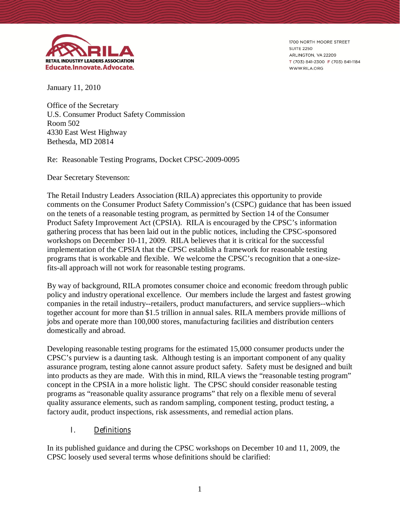

1700 NORTH MOORE STREET **SUITE 2250** ARLINGTON, VA 22209 T (703) 841-2300 F (703) 841-1184 WWW.RILA.ORG

January 11, 2010

Office of the Secretary U.S. Consumer Product Safety Commission Room 502 4330 East West Highway Bethesda, MD 20814

Re: Reasonable Testing Programs, Docket CPSC-2009-0095

Dear Secretary Stevenson:

The Retail Industry Leaders Association (RILA) appreciates this opportunity to provide comments on the Consumer Product Safety Commission's (CSPC) guidance that has been issued on the tenets of a reasonable testing program, as permitted by Section 14 of the Consumer Product Safety Improvement Act (CPSIA). RILA is encouraged by the CPSC's information gathering process that has been laid out in the public notices, including the CPSC-sponsored workshops on December 10-11, 2009. RILA believes that it is critical for the successful implementation of the CPSIA that the CPSC establish a framework for reasonable testing programs that is workable and flexible. We welcome the CPSC's recognition that a one-sizefits-all approach will not work for reasonable testing programs.

By way of background, RILA promotes consumer choice and economic freedom through public policy and industry operational excellence. Our members include the largest and fastest growing companies in the retail industry--retailers, product manufacturers, and service suppliers--which together account for more than \$1.5 trillion in annual sales. RILA members provide millions of jobs and operate more than 100,000 stores, manufacturing facilities and distribution centers domestically and abroad.

Developing reasonable testing programs for the estimated 15,000 consumer products under the CPSC's purview is a daunting task. Although testing is an important component of any quality assurance program, testing alone cannot assure product safety. Safety must be designed and built into products as they are made. With this in mind, RILA views the "reasonable testing program" concept in the CPSIA in a more holistic light. The CPSC should consider reasonable testing programs as "reasonable quality assurance programs" that rely on a flexible menu of several quality assurance elements, such as random sampling, component testing, product testing, a factory audit, product inspections, risk assessments, and remedial action plans.

#### **I. Definitions**

In its published guidance and during the CPSC workshops on December 10 and 11, 2009, the CPSC loosely used several terms whose definitions should be clarified: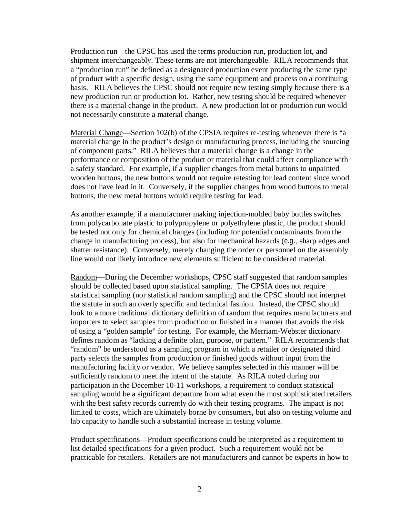Production run—the CPSC has used the terms production run, production lot, and shipment interchangeably. These terms are not interchangeable. RILA recommends that a "production run" be defined as a designated production event producing the same type of product with a specific design, using the same equipment and process on a continuing basis. RILA believes the CPSC should not require new testing simply because there is a new production run or production lot. Rather, new testing should be required whenever there is a material change in the product. A new production lot or production run would not necessarily constitute a material change.

Material Change—Section 102(b) of the CPSIA requires re-testing whenever there is "a material change in the product's design or manufacturing process, including the sourcing of component parts."RILA believes that a material change is a change in the performance or composition of the product or material that could affect compliance with a safety standard. For example, if a supplier changes from metal buttons to unpainted wooden buttons, the new buttons would not require retesting for lead content since wood does not have lead in it. Conversely, if the supplier changes from wood buttons to metal buttons, the new metal buttons would require testing for lead.

As another example, if a manufacturer making injection-molded baby bottles switches from polycarbonate plastic to polypropylene or polyethylene plastic, the product should be tested not only for chemical changes (including for potential contaminants from the change in manufacturing process), but also for mechanical hazards (*e.g.*, sharp edges and shatter resistance). Conversely, merely changing the order or personnel on the assembly line would not likely introduce new elements sufficient to be considered material.

Random—During the December workshops, CPSC staff suggested that random samples should be collected based upon statistical sampling. The CPSIA does not require statistical sampling (nor statistical random sampling) and the CPSC should not interpret the statute in such an overly specific and technical fashion. Instead, the CPSC should look to a more traditional dictionary definition of random that requires manufacturers and importers to select samples from production or finished in a manner that avoids the risk of using a "golden sample" for testing. For example, the Merriam-Webster dictionary defines random as "lacking a definite plan, purpose, or pattern." RILA recommends that "random" be understood as a sampling program in which a retailer or designated third party selects the samples from production or finished goods without input from the manufacturing facility or vendor. We believe samples selected in this manner will be sufficiently random to meet the intent of the statute. As RILA noted during our participation in the December 10-11 workshops, a requirement to conduct statistical sampling would be a significant departure from what even the most sophisticated retailers with the best safety records currently do with their testing programs. The impact is not limited to costs, which are ultimately borne by consumers, but also on testing volume and lab capacity to handle such a substantial increase in testing volume.

Product specifications—Product specifications could be interpreted as a requirement to list detailed specifications for a given product. Such a requirement would not be practicable for retailers. Retailers are not manufacturers and cannot be experts in how to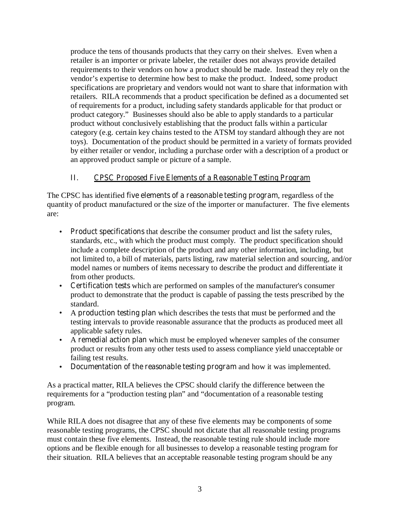produce the tens of thousands products that they carry on their shelves. Even when a retailer is an importer or private labeler, the retailer does not always provide detailed requirements to their vendors on how a product should be made. Instead they rely on the vendor's expertise to determine how best to make the product. Indeed, some product specifications are proprietary and vendors would not want to share that information with retailers. RILA recommends that a product specification be defined as a documented set of requirements for a product, including safety standards applicable for that product or product category." Businesses should also be able to apply standards to a particular product without conclusively establishing that the product falls within a particular category (e.g. certain key chains tested to the ATSM toy standard although they are not toys). Documentation of the product should be permitted in a variety of formats provided by either retailer or vendor, including a purchase order with a description of a product or an approved product sample or picture of a sample.

# **II. CPSC Proposed Five Elements of a Reasonable Testing Program**

The CPSC has identified **five elements of a reasonable testing program**, regardless of the quantity of product manufactured or the size of the importer or manufacturer. The five elements are:

- **Product specifications** that describe the consumer product and list the safety rules, standards, etc., with which the product must comply. The product specification should include a complete description of the product and any other information, including, but not limited to, a bill of materials, parts listing, raw material selection and sourcing, and/or model names or numbers of items necessary to describe the product and differentiate it from other products.
- **Certification tests** which are performed on samples of the manufacturer's consumer product to demonstrate that the product is capable of passing the tests prescribed by the standard.
- A **production testing plan** which describes the tests that must be performed and the testing intervals to provide reasonable assurance that the products as produced meet all applicable safety rules.
- A **remedial action plan** which must be employed whenever samples of the consumer product or results from any other tests used to assess compliance yield unacceptable or failing test results.
- **Documentation of the reasonable testing program** and how it was implemented.

As a practical matter, RILA believes the CPSC should clarify the difference between the requirements for a "production testing plan" and "documentation of a reasonable testing program.

While RILA does not disagree that any of these five elements may be components of some reasonable testing programs, the CPSC should not dictate that all reasonable testing programs must contain these five elements. Instead, the reasonable testing rule should include more options and be flexible enough for all businesses to develop a reasonable testing program for their situation. RILA believes that an acceptable reasonable testing program should be any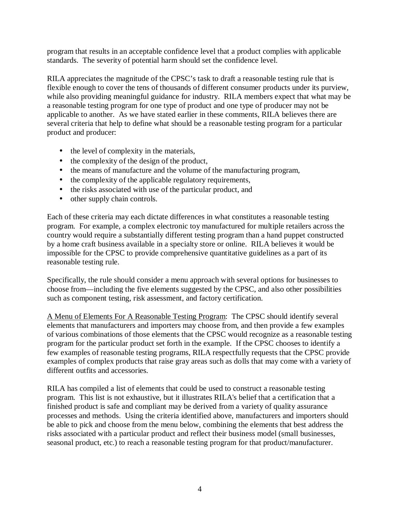program that results in an acceptable confidence level that a product complies with applicable standards. The severity of potential harm should set the confidence level.

RILA appreciates the magnitude of the CPSC's task to draft a reasonable testing rule that is flexible enough to cover the tens of thousands of different consumer products under its purview, while also providing meaningful guidance for industry. RILA members expect that what may be a reasonable testing program for one type of product and one type of producer may not be applicable to another. As we have stated earlier in these comments, RILA believes there are several criteria that help to define what should be a reasonable testing program for a particular product and producer:

- the level of complexity in the materials,
- the complexity of the design of the product,
- the means of manufacture and the volume of the manufacturing program,
- the complexity of the applicable regulatory requirements,
- the risks associated with use of the particular product, and
- other supply chain controls.

Each of these criteria may each dictate differences in what constitutes a reasonable testing program. For example, a complex electronic toy manufactured for multiple retailers across the country would require a substantially different testing program than a hand puppet constructed by a home craft business available in a specialty store or online. RILA believes it would be impossible for the CPSC to provide comprehensive quantitative guidelines as a part of its reasonable testing rule.

Specifically, the rule should consider a menu approach with several options for businesses to choose from—including the five elements suggested by the CPSC, and also other possibilities such as component testing, risk assessment, and factory certification.

A Menu of Elements For A Reasonable Testing Program: The CPSC should identify several elements that manufacturers and importers may choose from, and then provide a few examples of various combinations of those elements that the CPSC would recognize as a reasonable testing program for the particular product set forth in the example. If the CPSC chooses to identify a few examples of reasonable testing programs, RILA respectfully requests that the CPSC provide examples of complex products that raise gray areas such as dolls that may come with a variety of different outfits and accessories.

RILA has compiled a list of elements that could be used to construct a reasonable testing program. This list is not exhaustive, but it illustrates RILA's belief that a certification that a finished product is safe and compliant may be derived from a variety of quality assurance processes and methods. Using the criteria identified above, manufacturers and importers should be able to pick and choose from the menu below, combining the elements that best address the risks associated with a particular product and reflect their business model (small businesses, seasonal product, etc.) to reach a reasonable testing program for that product/manufacturer.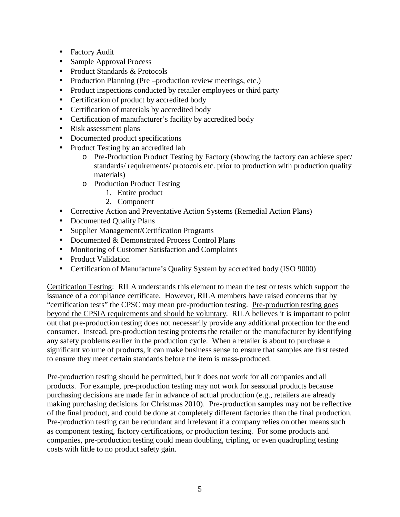- Factory Audit
- Sample Approval Process
- Product Standards & Protocols
- Production Planning (Pre –production review meetings, etc.)
- Product inspections conducted by retailer employees or third party
- Certification of product by accredited body
- Certification of materials by accredited body
- Certification of manufacturer's facility by accredited body
- Risk assessment plans
- Documented product specifications
- Product Testing by an accredited lab
	- o Pre-Production Product Testing by Factory (showing the factory can achieve spec/ standards/ requirements/ protocols etc. prior to production with production quality materials)
	- o Production Product Testing
		- 1. Entire product
		- 2. Component
- Corrective Action and Preventative Action Systems (Remedial Action Plans)
- Documented Quality Plans
- Supplier Management/Certification Programs
- Documented & Demonstrated Process Control Plans
- Monitoring of Customer Satisfaction and Complaints
- Product Validation
- Certification of Manufacture's Quality System by accredited body (ISO 9000)

Certification Testing: RILA understands this element to mean the test or tests which support the issuance of a compliance certificate. However, RILA members have raised concerns that by "certification tests" the CPSC may mean pre-production testing. Pre-production testing goes beyond the CPSIA requirements and should be voluntary. RILA believes it is important to point out that pre-production testing does not necessarily provide any additional protection for the end consumer. Instead, pre-production testing protects the retailer or the manufacturer by identifying any safety problems earlier in the production cycle. When a retailer is about to purchase a significant volume of products, it can make business sense to ensure that samples are first tested to ensure they meet certain standards before the item is mass-produced.

Pre-production testing should be permitted, but it does not work for all companies and all products. For example, pre-production testing may not work for seasonal products because purchasing decisions are made far in advance of actual production (e.g., retailers are already making purchasing decisions for Christmas 2010). Pre-production samples may not be reflective of the final product, and could be done at completely different factories than the final production. Pre-production testing can be redundant and irrelevant if a company relies on other means such as component testing, factory certifications, or production testing. For some products and companies, pre-production testing could mean doubling, tripling, or even quadrupling testing costs with little to no product safety gain.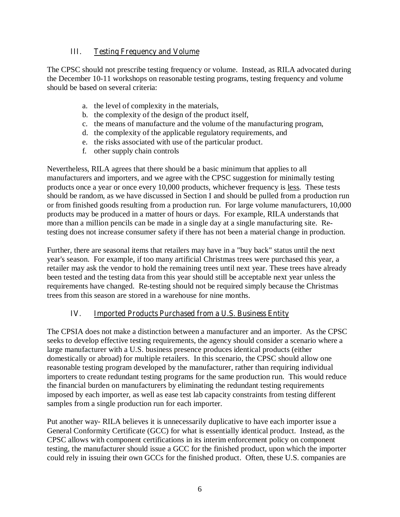#### **III. Testing Frequency and Volume**

The CPSC should not prescribe testing frequency or volume. Instead, as RILA advocated during the December 10-11 workshops on reasonable testing programs, testing frequency and volume should be based on several criteria:

- a. the level of complexity in the materials,
- b. the complexity of the design of the product itself,
- c. the means of manufacture and the volume of the manufacturing program,
- d. the complexity of the applicable regulatory requirements, and
- e. the risks associated with use of the particular product.
- f. other supply chain controls

Nevertheless, RILA agrees that there should be a basic minimum that applies to all manufacturers and importers, and we agree with the CPSC suggestion for minimally testing products once a year or once every 10,000 products, whichever frequency is less. These tests should be random, as we have discussed in Section I and should be pulled from a production run or from finished goods resulting from a production run. For large volume manufacturers, 10,000 products may be produced in a matter of hours or days. For example, RILA understands that more than a million pencils can be made in a single day at a single manufacturing site. Retesting does not increase consumer safety if there has not been a material change in production.

Further, there are seasonal items that retailers may have in a "buy back" status until the next year's season. For example, if too many artificial Christmas trees were purchased this year, a retailer may ask the vendor to hold the remaining trees until next year. These trees have already been tested and the testing data from this year should still be acceptable next year unless the requirements have changed. Re-testing should not be required simply because the Christmas trees from this season are stored in a warehouse for nine months.

## **IV. Imported Products Purchased from a U.S. Business Entity**

The CPSIA does not make a distinction between a manufacturer and an importer. As the CPSC seeks to develop effective testing requirements, the agency should consider a scenario where a large manufacturer with a U.S. business presence produces identical products (either domestically or abroad) for multiple retailers. In this scenario, the CPSC should allow one reasonable testing program developed by the manufacturer, rather than requiring individual importers to create redundant testing programs for the same production run. This would reduce the financial burden on manufacturers by eliminating the redundant testing requirements imposed by each importer, as well as ease test lab capacity constraints from testing different samples from a single production run for each importer.

Put another way- RILA believes it is unnecessarily duplicative to have each importer issue a General Conformity Certificate (GCC) for what is essentially identical product. Instead, as the CPSC allows with component certifications in its interim enforcement policy on component testing, the manufacturer should issue a GCC for the finished product, upon which the importer could rely in issuing their own GCCs for the finished product. Often, these U.S. companies are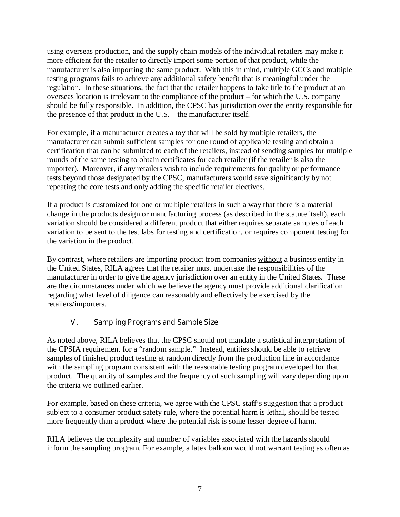using overseas production, and the supply chain models of the individual retailers may make it more efficient for the retailer to directly import some portion of that product, while the manufacturer is also importing the same product. With this in mind, multiple GCCs and multiple testing programs fails to achieve any additional safety benefit that is meaningful under the regulation. In these situations, the fact that the retailer happens to take title to the product at an overseas location is irrelevant to the compliance of the product – for which the U.S. company should be fully responsible. In addition, the CPSC has jurisdiction over the entity responsible for the presence of that product in the U.S. – the manufacturer itself.

For example, if a manufacturer creates a toy that will be sold by multiple retailers, the manufacturer can submit sufficient samples for one round of applicable testing and obtain a certification that can be submitted to each of the retailers, instead of sending samples for multiple rounds of the same testing to obtain certificates for each retailer (if the retailer is also the importer). Moreover, if any retailers wish to include requirements for quality or performance tests beyond those designated by the CPSC, manufacturers would save significantly by not repeating the core tests and only adding the specific retailer electives.

If a product is customized for one or multiple retailers in such a way that there is a material change in the products design or manufacturing process (as described in the statute itself), each variation should be considered a different product that either requires separate samples of each variation to be sent to the test labs for testing and certification, or requires component testing for the variation in the product.

By contrast, where retailers are importing product from companies without a business entity in the United States, RILA agrees that the retailer must undertake the responsibilities of the manufacturer in order to give the agency jurisdiction over an entity in the United States. These are the circumstances under which we believe the agency must provide additional clarification regarding what level of diligence can reasonably and effectively be exercised by the retailers/importers.

## **V. Sampling Programs and Sample Size**

As noted above, RILA believes that the CPSC should not mandate a statistical interpretation of the CPSIA requirement for a "random sample." Instead, entities should be able to retrieve samples of finished product testing at random directly from the production line in accordance with the sampling program consistent with the reasonable testing program developed for that product. The quantity of samples and the frequency of such sampling will vary depending upon the criteria we outlined earlier.

For example, based on these criteria, we agree with the CPSC staff's suggestion that a product subject to a consumer product safety rule, where the potential harm is lethal, should be tested more frequently than a product where the potential risk is some lesser degree of harm.

RILA believes the complexity and number of variables associated with the hazards should inform the sampling program. For example, a latex balloon would not warrant testing as often as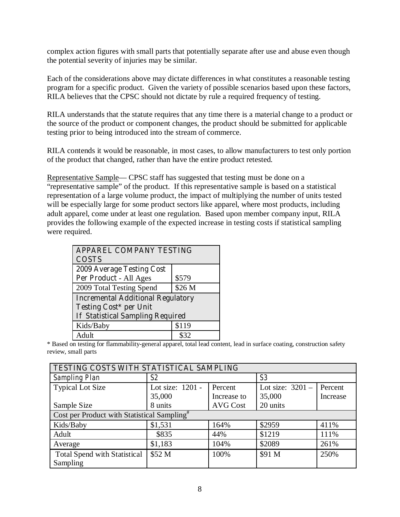complex action figures with small parts that potentially separate after use and abuse even though the potential severity of injuries may be similar.

Each of the considerations above may dictate differences in what constitutes a reasonable testing program for a specific product. Given the variety of possible scenarios based upon these factors, RILA believes that the CPSC should not dictate by rule a required frequency of testing.

RILA understands that the statute requires that any time there is a material change to a product or the source of the product or component changes, the product should be submitted for applicable testing prior to being introduced into the stream of commerce.

RILA contends it would be reasonable, in most cases, to allow manufacturers to test only portion of the product that changed, rather than have the entire product retested.

Representative Sample— CPSC staff has suggested that testing must be done on a "representative sample" of the product. If this representative sample is based on a statistical representation of a large volume product, the impact of multiplying the number of units tested will be especially large for some product sectors like apparel, where most products, including adult apparel, come under at least one regulation. Based upon member company input, RILA provides the following example of the expected increase in testing costs if statistical sampling were required.

| <b>APPAREL COMPANY TESTING</b>           |        |  |  |
|------------------------------------------|--------|--|--|
| <b>COSTS</b>                             |        |  |  |
| <b>2009 Average Testing Cost</b>         |        |  |  |
| Per Product - All Ages                   | \$579  |  |  |
| 2009 Total Testing Spend                 | \$26 M |  |  |
| <b>Incremental Additional Regulatory</b> |        |  |  |
| <b>Testing Cost* per Unit</b>            |        |  |  |
| <b>If Statistical Sampling Required</b>  |        |  |  |
| Kids/Baby                                | \$119  |  |  |
| Adult                                    |        |  |  |

\* Based on testing for flammability-general apparel, total lead content, lead in surface coating, construction safety review, small parts

| TESTING COSTS WITH STATISTICAL SAMPLING                 |                  |                 |                    |          |  |
|---------------------------------------------------------|------------------|-----------------|--------------------|----------|--|
| <b>Sampling Plan</b>                                    | S2               |                 | S <sub>3</sub>     |          |  |
| <b>Typical Lot Size</b>                                 | Lot size: 1201 - | Percent         | Lot size: $3201 -$ | Percent  |  |
|                                                         | 35,000           | Increase to     | 35,000             | Increase |  |
| Sample Size                                             | 8 units          | <b>AVG Cost</b> | 20 units           |          |  |
| Cost per Product with Statistical Sampling <sup>#</sup> |                  |                 |                    |          |  |
| Kids/Baby                                               | \$1,531          | 164%            | \$2959             | 411%     |  |
| Adult                                                   | \$835            | 44%             | \$1219             | 111%     |  |
| Average                                                 | \$1,183          | 104%            | \$2089             | 261%     |  |
| <b>Total Spend with Statistical</b>                     | \$52 M           | 100%            | \$91 M             | 250%     |  |
| Sampling                                                |                  |                 |                    |          |  |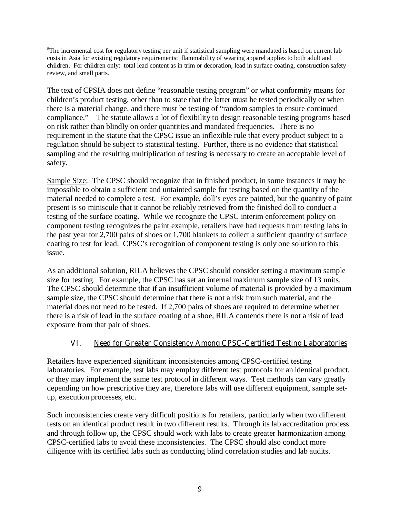# The incremental cost for regulatory testing per unit if statistical sampling were mandated is based on current lab costs in Asia for existing regulatory requirements: flammability of wearing apparel applies to both adult and children. For children only: total lead content as in trim or decoration, lead in surface coating, construction safety review, and small parts.

The text of CPSIA does not define "reasonable testing program" or what conformity means for children's product testing, other than to state that the latter must be tested periodically or when there is a material change, and there must be testing of "random samples to ensure continued compliance." The statute allows a lot of flexibility to design reasonable testing programs based on risk rather than blindly on order quantities and mandated frequencies. There is no requirement in the statute that the CPSC issue an inflexible rule that every product subject to a regulation should be subject to statistical testing. Further, there is no evidence that statistical sampling and the resulting multiplication of testing is necessary to create an acceptable level of safety.

Sample Size: The CPSC should recognize that in finished product, in some instances it may be impossible to obtain a sufficient and untainted sample for testing based on the quantity of the material needed to complete a test. For example, doll's eyes are painted, but the quantity of paint present is so miniscule that it cannot be reliably retrieved from the finished doll to conduct a testing of the surface coating. While we recognize the CPSC interim enforcement policy on component testing recognizes the paint example, retailers have had requests from testing labs in the past year for 2,700 pairs of shoes or 1,700 blankets to collect a sufficient quantity of surface coating to test for lead. CPSC's recognition of component testing is only one solution to this issue.

As an additional solution, RILA believes the CPSC should consider setting a maximum sample size for testing. For example, the CPSC has set an internal maximum sample size of 13 units. The CPSC should determine that if an insufficient volume of material is provided by a maximum sample size, the CPSC should determine that there is not a risk from such material, and the material does not need to be tested. If 2,700 pairs of shoes are required to determine whether there is a risk of lead in the surface coating of a shoe, RILA contends there is not a risk of lead exposure from that pair of shoes.

#### **VI. Need for Greater Consistency Among CPSC-Certified Testing Laboratories**

Retailers have experienced significant inconsistencies among CPSC-certified testing laboratories. For example, test labs may employ different test protocols for an identical product, or they may implement the same test protocol in different ways. Test methods can vary greatly depending on how prescriptive they are, therefore labs will use different equipment, sample setup, execution processes, etc.

Such inconsistencies create very difficult positions for retailers, particularly when two different tests on an identical product result in two different results. Through its lab accreditation process and through follow up, the CPSC should work with labs to create greater harmonization among CPSC-certified labs to avoid these inconsistencies. The CPSC should also conduct more diligence with its certified labs such as conducting blind correlation studies and lab audits.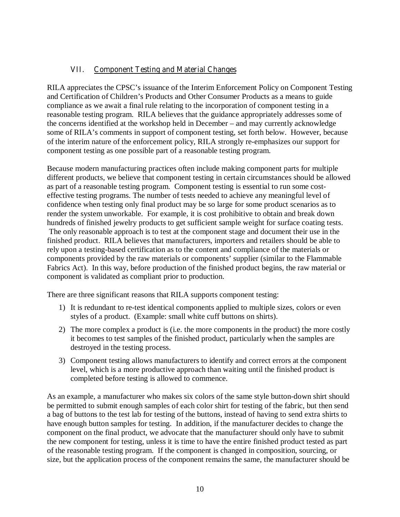### **VII. Component Testing and Material Changes**

RILA appreciates the CPSC's issuance of the Interim Enforcement Policy on Component Testing and Certification of Children's Products and Other Consumer Products as a means to guide compliance as we await a final rule relating to the incorporation of component testing in a reasonable testing program. RILA believes that the guidance appropriately addresses some of the concerns identified at the workshop held in December – and may currently acknowledge some of RILA's comments in support of component testing, set forth below. However, because of the interim nature of the enforcement policy, RILA strongly re-emphasizes our support for component testing as one possible part of a reasonable testing program.

Because modern manufacturing practices often include making component parts for multiple different products, we believe that component testing in certain circumstances should be allowed as part of a reasonable testing program. Component testing is essential to run some costeffective testing programs. The number of tests needed to achieve any meaningful level of confidence when testing only final product may be so large for some product scenarios as to render the system unworkable. For example, it is cost prohibitive to obtain and break down hundreds of finished jewelry products to get sufficient sample weight for surface coating tests. The only reasonable approach is to test at the component stage and document their use in the finished product. RILA believes that manufacturers, importers and retailers should be able to rely upon a testing-based certification as to the content and compliance of the materials or components provided by the raw materials or components' supplier (similar to the Flammable Fabrics Act). In this way, before production of the finished product begins, the raw material or component is validated as compliant prior to production.

There are three significant reasons that RILA supports component testing:

- 1) It is redundant to re-test identical components applied to multiple sizes, colors or even styles of a product. (Example: small white cuff buttons on shirts).
- 2) The more complex a product is (i.e. the more components in the product) the more costly it becomes to test samples of the finished product, particularly when the samples are destroyed in the testing process.
- 3) Component testing allows manufacturers to identify and correct errors at the component level, which is a more productive approach than waiting until the finished product is completed before testing is allowed to commence.

As an example, a manufacturer who makes six colors of the same style button-down shirt should be permitted to submit enough samples of each color shirt for testing of the fabric, but then send a bag of buttons to the test lab for testing of the buttons, instead of having to send extra shirts to have enough button samples for testing. In addition, if the manufacturer decides to change the component on the final product, we advocate that the manufacturer should only have to submit the new component for testing, unless it is time to have the entire finished product tested as part of the reasonable testing program. If the component is changed in composition, sourcing, or size, but the application process of the component remains the same, the manufacturer should be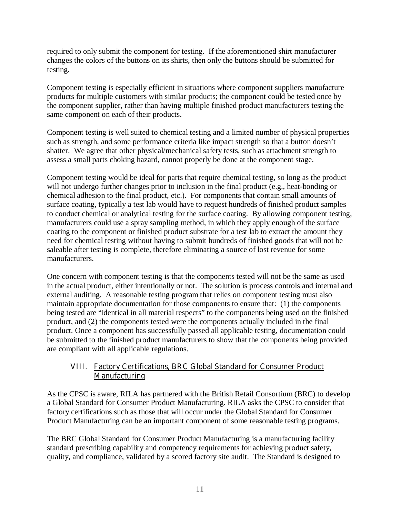required to only submit the component for testing. If the aforementioned shirt manufacturer changes the colors of the buttons on its shirts, then only the buttons should be submitted for testing.

Component testing is especially efficient in situations where component suppliers manufacture products for multiple customers with similar products; the component could be tested once by the component supplier, rather than having multiple finished product manufacturers testing the same component on each of their products.

Component testing is well suited to chemical testing and a limited number of physical properties such as strength, and some performance criteria like impact strength so that a button doesn't shatter. We agree that other physical/mechanical safety tests, such as attachment strength to assess a small parts choking hazard, cannot properly be done at the component stage.

Component testing would be ideal for parts that require chemical testing, so long as the product will not undergo further changes prior to inclusion in the final product (e.g., heat-bonding or chemical adhesion to the final product, etc.). For components that contain small amounts of surface coating, typically a test lab would have to request hundreds of finished product samples to conduct chemical or analytical testing for the surface coating. By allowing component testing, manufacturers could use a spray sampling method, in which they apply enough of the surface coating to the component or finished product substrate for a test lab to extract the amount they need for chemical testing without having to submit hundreds of finished goods that will not be saleable after testing is complete, therefore eliminating a source of lost revenue for some manufacturers.

One concern with component testing is that the components tested will not be the same as used in the actual product, either intentionally or not. The solution is process controls and internal and external auditing. A reasonable testing program that relies on component testing must also maintain appropriate documentation for those components to ensure that: (1) the components being tested are "identical in all material respects" to the components being used on the finished product, and (2) the components tested were the components actually included in the final product. Once a component has successfully passed all applicable testing, documentation could be submitted to the finished product manufacturers to show that the components being provided are compliant with all applicable regulations.

#### **VIII. Factory Certifications, BRC Global Standard for Consumer Product Manufacturing**

As the CPSC is aware, RILA has partnered with the British Retail Consortium (BRC) to develop a Global Standard for Consumer Product Manufacturing. RILA asks the CPSC to consider that factory certifications such as those that will occur under the Global Standard for Consumer Product Manufacturing can be an important component of some reasonable testing programs.

The BRC Global Standard for Consumer Product Manufacturing is a manufacturing facility standard prescribing capability and competency requirements for achieving product safety, quality, and compliance, validated by a scored factory site audit. The Standard is designed to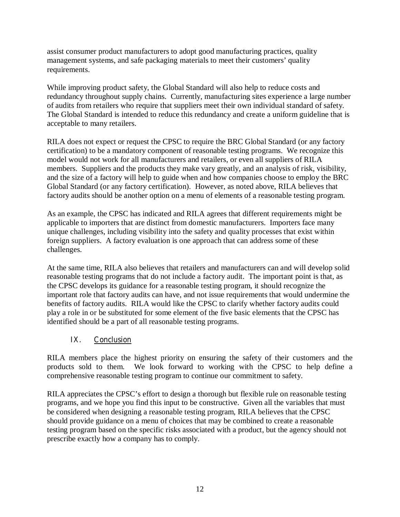assist consumer product manufacturers to adopt good manufacturing practices, quality management systems, and safe packaging materials to meet their customers' quality requirements.

While improving product safety, the Global Standard will also help to reduce costs and redundancy throughout supply chains. Currently, manufacturing sites experience a large number of audits from retailers who require that suppliers meet their own individual standard of safety. The Global Standard is intended to reduce this redundancy and create a uniform guideline that is acceptable to many retailers.

RILA does not expect or request the CPSC to require the BRC Global Standard (or any factory certification) to be a mandatory component of reasonable testing programs. We recognize this model would not work for all manufacturers and retailers, or even all suppliers of RILA members. Suppliers and the products they make vary greatly, and an analysis of risk, visibility, and the size of a factory will help to guide when and how companies choose to employ the BRC Global Standard (or any factory certification). However, as noted above, RILA believes that factory audits should be another option on a menu of elements of a reasonable testing program.

As an example, the CPSC has indicated and RILA agrees that different requirements might be applicable to importers that are distinct from domestic manufacturers. Importers face many unique challenges, including visibility into the safety and quality processes that exist within foreign suppliers. A factory evaluation is one approach that can address some of these challenges.

At the same time, RILA also believes that retailers and manufacturers can and will develop solid reasonable testing programs that do not include a factory audit. The important point is that, as the CPSC develops its guidance for a reasonable testing program, it should recognize the important role that factory audits can have, and not issue requirements that would undermine the benefits of factory audits.RILA would like the CPSC to clarify whether factory audits could play a role in or be substituted for some element of the five basic elements that the CPSC has identified should be a part of all reasonable testing programs.

## **IX. Conclusion**

RILA members place the highest priority on ensuring the safety of their customers and the products sold to them. We look forward to working with the CPSC to help define a comprehensive reasonable testing program to continue our commitment to safety.

RILA appreciates the CPSC's effort to design a thorough but flexible rule on reasonable testing programs, and we hope you find this input to be constructive. Given all the variables that must be considered when designing a reasonable testing program, RILA believes that the CPSC should provide guidance on a menu of choices that may be combined to create a reasonable testing program based on the specific risks associated with a product, but the agency should not prescribe exactly how a company has to comply.